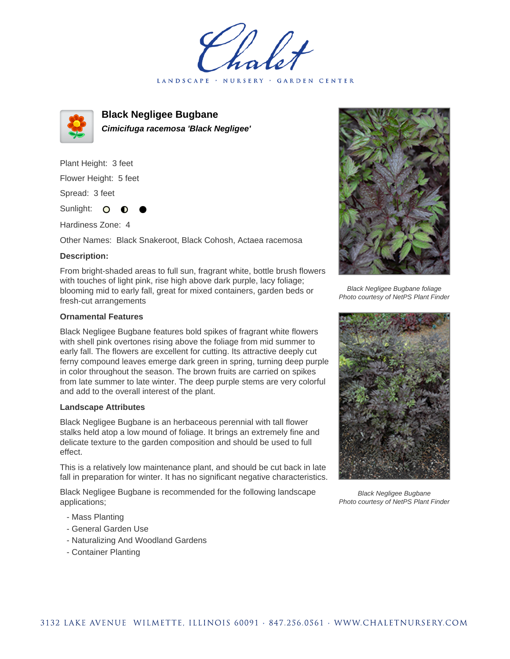holet LANDSCAPE · NURSERY · GARDEN CENTER



**Black Negligee Bugbane Cimicifuga racemosa 'Black Negligee'**

Plant Height: 3 feet Flower Height: 5 feet Spread: 3 feet

Sunlight: O **O** 

Hardiness Zone: 4

Other Names: Black Snakeroot, Black Cohosh, Actaea racemosa

## **Description:**

From bright-shaded areas to full sun, fragrant white, bottle brush flowers with touches of light pink, rise high above dark purple, lacy foliage; blooming mid to early fall, great for mixed containers, garden beds or fresh-cut arrangements

## **Ornamental Features**

Black Negligee Bugbane features bold spikes of fragrant white flowers with shell pink overtones rising above the foliage from mid summer to early fall. The flowers are excellent for cutting. Its attractive deeply cut ferny compound leaves emerge dark green in spring, turning deep purple in color throughout the season. The brown fruits are carried on spikes from late summer to late winter. The deep purple stems are very colorful and add to the overall interest of the plant.

## **Landscape Attributes**

Black Negligee Bugbane is an herbaceous perennial with tall flower stalks held atop a low mound of foliage. It brings an extremely fine and delicate texture to the garden composition and should be used to full effect.

This is a relatively low maintenance plant, and should be cut back in late fall in preparation for winter. It has no significant negative characteristics.

Black Negligee Bugbane is recommended for the following landscape applications;

- Mass Planting
- General Garden Use
- Naturalizing And Woodland Gardens
- Container Planting



Black Negligee Bugbane foliage Photo courtesy of NetPS Plant Finder



Black Negligee Bugbane Photo courtesy of NetPS Plant Finder